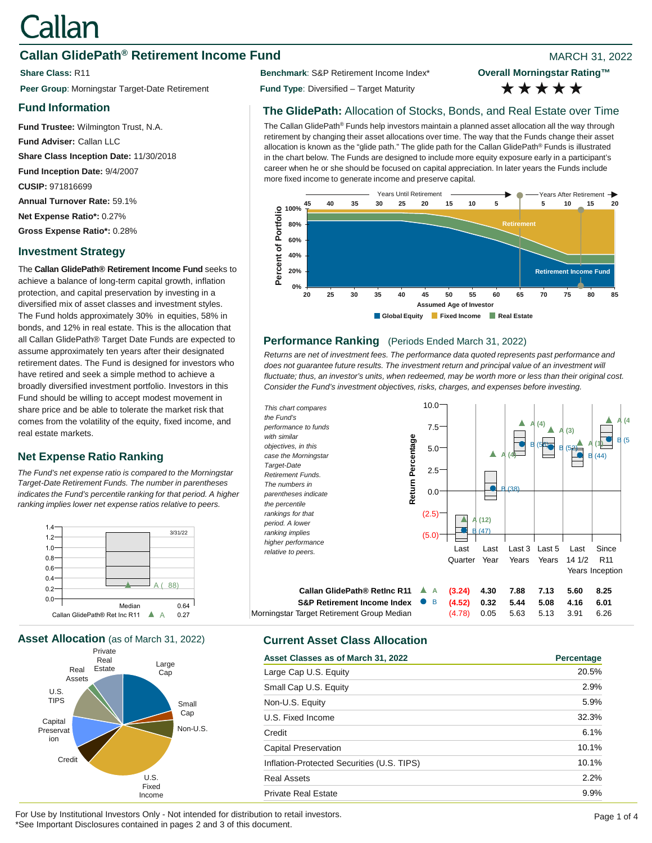# Callan

# **Callan GlidePath<sup>®</sup> Retirement Income Fund Blue Callan Contract Contract Contract MARCH 31, 2022**

**Peer Group**: Morningstar Target-Date Retirement **Fund Type**: Diversified – Target Maturity

#### **Fund Information**

**Fund Trustee:** Wilmington Trust, N.A. **Fund Adviser:** Callan LLC **Share Class Inception Date:** 11/30/2018 **Fund Inception Date:** 9/4/2007 **CUSIP:** 971816699 **Annual Turnover Rate:** 59.1% **Net Expense Ratio\*:** 0.27% **Gross Expense Ratio\*:** 0.28%

#### **Investment Strategy**

The **Callan GlidePath® Retirement Income Fund** seeks to achieve a balance of long-term capital growth, inflation protection, and capital preservation by investing in a diversified mix of asset classes and investment styles. The Fund holds approximately 30% in equities, 58% in bonds, and 12% in real estate. This is the allocation that all Callan GlidePath® Target Date Funds are expected to assume approximately ten years after their designated retirement dates. The Fund is designed for investors who have retired and seek a simple method to achieve a broadly diversified investment portfolio. Investors in this Fund should be willing to accept modest movement in share price and be able to tolerate the market risk that comes from the volatility of the equity, fixed income, and real estate markets.

## **Net Expense Ratio Ranking**

*The Fund's net expense ratio is compared to the Morningstar Target-Date Retirement Funds. The number in parentheses indicates the Fund's percentile ranking for that period. A higher ranking implies lower net expense ratios relative to peers.*



**Asset Allocation** (as of March 31, 2022) **Current Asset Class Allocation**



**Share Class:** R11 **Benchmark**: S&P Retirement Income Index\*

**Overall Morningstar Rating™**

\*\*\*\*\*

#### **The GlidePath:** Allocation of Stocks, Bonds, and Real Estate over Time

The Callan GlidePath® Funds help investors maintain a planned asset allocation all the way through retirement by changing their asset allocations over time. The way that the Funds change their asset allocation is known as the "glide path." The glide path for the Callan GlidePath® Funds is illustrated in the chart below. The Funds are designed to include more equity exposure early in a participant's career when he or she should be focused on capital appreciation. In later years the Funds include more fixed income to generate income and preserve capital.



#### **Performance Ranking** (Periods Ended March 31, 2022)

*Returns are net of investment fees. The performance data quoted represents past performance and*  does not guarantee future results. The investment return and principal value of an investment will *fluctuate; thus, an investor's units, when redeemed, may be worth more or less than their original cost. Consider the Fund's investment objectives, risks, charges, and expenses before investing.*



| Asset Classes as of March 31, 2022         | Percentage |
|--------------------------------------------|------------|
| Large Cap U.S. Equity                      | 20.5%      |
| Small Cap U.S. Equity                      | 2.9%       |
| Non-U.S. Equity                            | 5.9%       |
| U.S. Fixed Income                          | 32.3%      |
| Credit                                     | 6.1%       |
| <b>Capital Preservation</b>                | 10.1%      |
| Inflation-Protected Securities (U.S. TIPS) | 10.1%      |
| <b>Real Assets</b>                         | 2.2%       |
| <b>Private Real Estate</b>                 | 9.9%       |

For Use by Institutional Investors Only - Not intended for distribution to retail investors. \*See Important Disclosures contained in pages 2 and 3 of this document.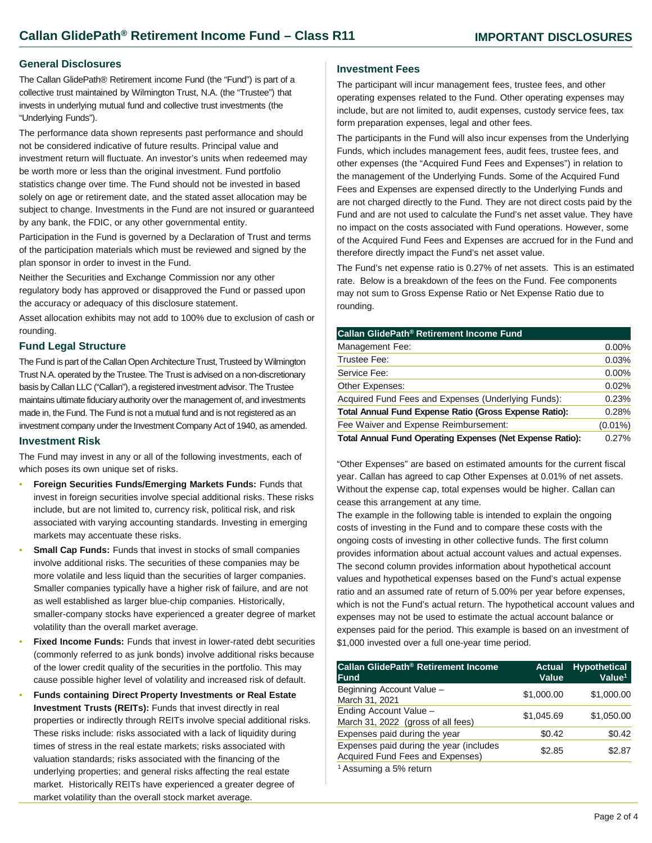#### **General Disclosures**

The Callan GlidePath® Retirement income Fund (the "Fund") is part of a collective trust maintained by Wilmington Trust, N.A. (the "Trustee") that invests in underlying mutual fund and collective trust investments (the "Underlying Funds").

The performance data shown represents past performance and should not be considered indicative of future results. Principal value and investment return will fluctuate. An investor's units when redeemed may be worth more or less than the original investment. Fund portfolio statistics change over time. The Fund should not be invested in based solely on age or retirement date, and the stated asset allocation may be subject to change. Investments in the Fund are not insured or guaranteed by any bank, the FDIC, or any other governmental entity.

Participation in the Fund is governed by a Declaration of Trust and terms of the participation materials which must be reviewed and signed by the plan sponsor in order to invest in the Fund.

Neither the Securities and Exchange Commission nor any other regulatory body has approved or disapproved the Fund or passed upon the accuracy or adequacy of this disclosure statement.

Asset allocation exhibits may not add to 100% due to exclusion of cash or rounding.

#### **Fund Legal Structure**

The Fund is part of the Callan Open Architecture Trust, Trusteed by Wilmington Trust N.A. operated by the Trustee. The Trust is advised on a non-discretionary basis by Callan LLC ("Callan"), a registered investment advisor. The Trustee maintains ultimate fiduciary authority over the management of, and investments made in, the Fund. The Fund is not a mutual fund and is not registered as an investment company under the Investment Company Act of 1940, as amended.

#### **Investment Risk**

The Fund may invest in any or all of the following investments, each of which poses its own unique set of risks.

- **Foreign Securities Funds/Emerging Markets Funds:** Funds that invest in foreign securities involve special additional risks. These risks include, but are not limited to, currency risk, political risk, and risk associated with varying accounting standards. Investing in emerging markets may accentuate these risks.
- **Small Cap Funds: Funds that invest in stocks of small companies** involve additional risks. The securities of these companies may be more volatile and less liquid than the securities of larger companies. Smaller companies typically have a higher risk of failure, and are not as well established as larger blue-chip companies. Historically, smaller-company stocks have experienced a greater degree of market volatility than the overall market average.
- **Fixed Income Funds:** Funds that invest in lower-rated debt securities (commonly referred to as junk bonds) involve additional risks because of the lower credit quality of the securities in the portfolio. This may cause possible higher level of volatility and increased risk of default.
- **Funds containing Direct Property Investments or Real Estate Investment Trusts (REITs):** Funds that invest directly in real properties or indirectly through REITs involve special additional risks. These risks include: risks associated with a lack of liquidity during times of stress in the real estate markets; risks associated with valuation standards; risks associated with the financing of the underlying properties; and general risks affecting the real estate market. Historically REITs have experienced a greater degree of market volatility than the overall stock market average.

#### **Investment Fees**

The participant will incur management fees, trustee fees, and other operating expenses related to the Fund. Other operating expenses may include, but are not limited to, audit expenses, custody service fees, tax form preparation expenses, legal and other fees.

The participants in the Fund will also incur expenses from the Underlying Funds, which includes management fees, audit fees, trustee fees, and other expenses (the "Acquired Fund Fees and Expenses") in relation to the management of the Underlying Funds. Some of the Acquired Fund Fees and Expenses are expensed directly to the Underlying Funds and are not charged directly to the Fund. They are not direct costs paid by the Fund and are not used to calculate the Fund's net asset value. They have no impact on the costs associated with Fund operations. However, some of the Acquired Fund Fees and Expenses are accrued for in the Fund and therefore directly impact the Fund's net asset value.

The Fund's net expense ratio is 0.27% of net assets. This is an estimated rate. Below is a breakdown of the fees on the Fund. Fee components may not sum to Gross Expense Ratio or Net Expense Ratio due to rounding.

| Callan GlidePath <sup>®</sup> Retirement Income Fund             |            |
|------------------------------------------------------------------|------------|
| Management Fee:                                                  | $0.00\%$   |
| Trustee Fee:                                                     | 0.03%      |
| Service Fee:                                                     | 0.00%      |
| Other Expenses:                                                  | 0.02%      |
| Acquired Fund Fees and Expenses (Underlying Funds):              | 0.23%      |
| <b>Total Annual Fund Expense Ratio (Gross Expense Ratio):</b>    | 0.28%      |
| Fee Waiver and Expense Reimbursement:                            | $(0.01\%)$ |
| <b>Total Annual Fund Operating Expenses (Net Expense Ratio):</b> | 0.27%      |

"Other Expenses" are based on estimated amounts for the current fiscal year. Callan has agreed to cap Other Expenses at 0.01% of net assets. Without the expense cap, total expenses would be higher. Callan can cease this arrangement at any time.

The example in the following table is intended to explain the ongoing costs of investing in the Fund and to compare these costs with the ongoing costs of investing in other collective funds. The first column provides information about actual account values and actual expenses. The second column provides information about hypothetical account values and hypothetical expenses based on the Fund's actual expense ratio and an assumed rate of return of 5.00% per year before expenses, which is not the Fund's actual return. The hypothetical account values and expenses may not be used to estimate the actual account balance or expenses paid for the period. This example is based on an investment of \$1,000 invested over a full one-year time period.

| <b>Callan GlidePath<sup>®</sup> Retirement Income</b><br><b>Fund</b>        | <b>Actual</b><br>Value | <b>Hypothetical</b><br>Value <sup>1</sup> |
|-----------------------------------------------------------------------------|------------------------|-------------------------------------------|
| Beginning Account Value -<br>March 31, 2021                                 | \$1,000.00             | \$1,000.00                                |
| Ending Account Value -<br>March 31, 2022 (gross of all fees)                | \$1,045.69             | \$1,050.00                                |
| Expenses paid during the year                                               | \$0.42                 | \$0.42                                    |
| Expenses paid during the year (includes<br>Acquired Fund Fees and Expenses) | \$2.85                 | \$2.87                                    |
| <sup>1</sup> Assuming a 5% return                                           |                        |                                           |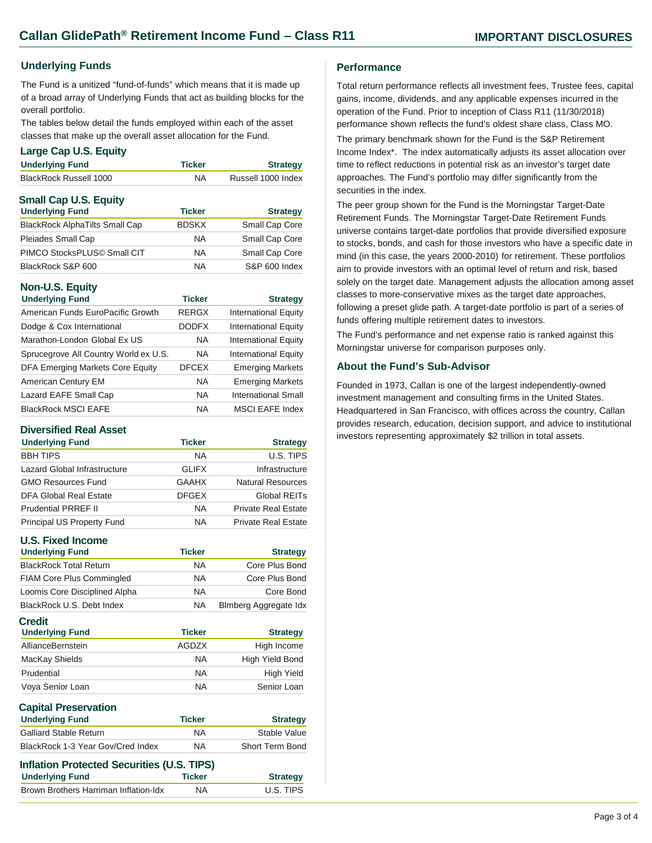#### **Underlying Funds**

The Fund is a unitized "fund-of-funds" which means that it is made up of a broad array of Underlying Funds that act as building blocks for the overall portfolio.

The tables below detail the funds employed within each of the asset classes that make up the overall asset allocation for the Fund.

#### **Large Cap U.S. Equity**

| <b>Underlying Fund</b>                | <b>Ticker</b> | <b>Strategy</b>    |
|---------------------------------------|---------------|--------------------|
| <b>BlackRock Russell 1000</b>         | <b>NA</b>     | Russell 1000 Index |
| <b>Small Cap U.S. Equity</b>          |               |                    |
| <b>Underlying Fund</b>                | <b>Ticker</b> | <b>Strategy</b>    |
| <b>BlackRock AlphaTilts Small Cap</b> | <b>BDSKX</b>  | Small Cap Core     |
| Dlainden Cmall Can                    | <b>NIA</b>    | Cmall Can Caro     |

Pleiades Small Cap NA Small Cap Core PIMCO StocksPLUS© Small CIT NA Small Cap Core BlackRock S&P 600 NA S&P 600 Index

#### **Non-U.S. Equity**

| <b>Underlying Fund</b>                | <b>Ticker</b> | <b>Strategy</b>             |
|---------------------------------------|---------------|-----------------------------|
| American Funds EuroPacific Growth     | <b>RERGX</b>  | <b>International Equity</b> |
| Dodge & Cox International             | <b>DODFX</b>  | <b>International Equity</b> |
| Marathon-London Global Ex US          | NA.           | <b>International Equity</b> |
| Sprucegrove All Country World ex U.S. | <b>NA</b>     | <b>International Equity</b> |
| DFA Emerging Markets Core Equity      | <b>DFCEX</b>  | <b>Emerging Markets</b>     |
| American Century EM                   | <b>NA</b>     | <b>Emerging Markets</b>     |
| Lazard EAFE Small Cap                 | <b>NA</b>     | <b>International Small</b>  |
| <b>BlackRock MSCI EAFE</b>            | <b>NA</b>     | <b>MSCI EAFE Index</b>      |

#### **Diversified Real Asset**

| <b>Underlying Fund</b>       | <b>Ticker</b> | <b>Strategy</b>            |
|------------------------------|---------------|----------------------------|
| <b>BBH TIPS</b>              | <b>NA</b>     | U.S. TIPS                  |
| Lazard Global Infrastructure | <b>GLIFX</b>  | Infrastructure             |
| <b>GMO Resources Fund</b>    | <b>GAAHX</b>  | Natural Resources          |
| DFA Global Real Estate       | <b>DFGEX</b>  | Global REITs               |
| <b>Prudential PRREF II</b>   | <b>NA</b>     | <b>Private Real Estate</b> |
| Principal US Property Fund   | NA.           | <b>Private Real Estate</b> |

### **U.S. Fixed Income**

| <b>Underlying Fund</b>           | <b>Ticker</b> | <b>Strategy</b>       |
|----------------------------------|---------------|-----------------------|
| <b>BlackRock Total Return</b>    | <b>NA</b>     | Core Plus Bond        |
| <b>FIAM Core Plus Commingled</b> | <b>NA</b>     | Core Plus Bond        |
| Loomis Core Disciplined Alpha    | <b>NA</b>     | Core Bond             |
| BlackRock U.S. Debt Index        | <b>NA</b>     | Blmberg Aggregate Idx |
| Credit<br><b>Underlying Fund</b> | <b>Ticker</b> | <b>Strategy</b>       |
| AllianceBernstein                | AGDZX         | High Income           |
| MacKay Shields                   | NΔ            | High Vield Bond       |

| <b>Capital Preservation</b> |    |                   |  |
|-----------------------------|----|-------------------|--|
| Voya Senior Loan            | ΝA | Senior Loan       |  |
| Prudential                  | ΝA | <b>High Yield</b> |  |
| $\cdots$                    | .  |                   |  |

| <b>Underlying Fund</b>            | <b>Ticker</b> | <b>Strategy</b> |
|-----------------------------------|---------------|-----------------|
| <b>Galliard Stable Return</b>     | ΝA            | Stable Value    |
| BlackRock 1-3 Year Gov/Cred Index | NA            | Short Term Bond |
|                                   |               |                 |

| <b>Inflation Protected Securities (U.S. TIPS)</b> |               |                 |
|---------------------------------------------------|---------------|-----------------|
| <b>Underlying Fund</b>                            | <b>Ticker</b> | <b>Strategy</b> |
| Brown Brothers Harriman Inflation-Idx             | ΝA            | U.S. TIPS       |

#### **Performance**

Total return performance reflects all investment fees, Trustee fees, capital gains, income, dividends, and any applicable expenses incurred in the operation of the Fund. Prior to inception of Class R11 (11/30/2018) performance shown reflects the fund's oldest share class, Class MO. The primary benchmark shown for the Fund is the S&P Retirement Income Index\*. The index automatically adjusts its asset allocation over time to reflect reductions in potential risk as an investor's target date approaches. The Fund's portfolio may differ significantly from the securities in the index.

The peer group shown for the Fund is the Morningstar Target-Date Retirement Funds. The Morningstar Target-Date Retirement Funds universe contains target-date portfolios that provide diversified exposure to stocks, bonds, and cash for those investors who have a specific date in mind (in this case, the years 2000-2010) for retirement. These portfolios aim to provide investors with an optimal level of return and risk, based solely on the target date. Management adjusts the allocation among asset classes to more-conservative mixes as the target date approaches, following a preset glide path. A target-date portfolio is part of a series of funds offering multiple retirement dates to investors.

The Fund's performance and net expense ratio is ranked against this Morningstar universe for comparison purposes only.

#### **About the Fund's Sub-Advisor**

Founded in 1973, Callan is one of the largest independently-owned investment management and consulting firms in the United States. Headquartered in San Francisco, with offices across the country, Callan provides research, education, decision support, and advice to institutional investors representing approximately \$2 trillion in total assets.